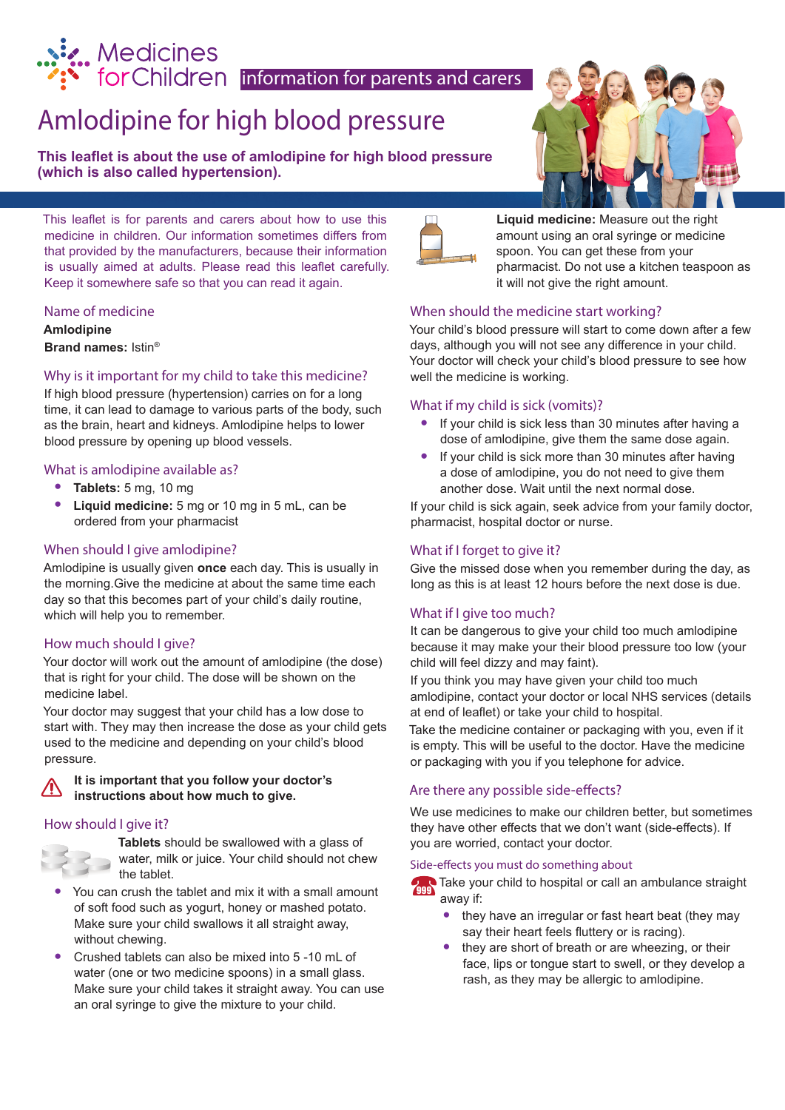# **information for parents and carers**<br> **information for parents and carers**

# Amlodipine for high blood pressure

**This leaflet is about the use of amlodipine for high blood pressure (which is also called hypertension).**

This leaflet is for parents and carers about how to use this medicine in children. Our information sometimes differs from that provided by the manufacturers, because their information is usually aimed at adults. Please read this leaflet carefully. Keep it somewhere safe so that you can read it again.

# Name of medicine

**Amlodipine Brand names:** Istin®

# Why is it important for my child to take this medicine?

If high blood pressure (hypertension) carries on for a long time, it can lead to damage to various parts of the body, such as the brain, heart and kidneys. Amlodipine helps to lower blood pressure by opening up blood vessels.

# What is amlodipine available as?

- **• Tablets:** 5 mg, 10 mg
- **• Liquid medicine:** 5 mg or 10 mg in 5 mL, can be ordered from your pharmacist

# When should I give amlodipine?

Amlodipine is usually given **once** each day. This is usually in the morning.Give the medicine at about the same time each day so that this becomes part of your child's daily routine, which will help you to remember.

# How much should I give?

Your doctor will work out the amount of amlodipine (the dose) that is right for your child. The dose will be shown on the medicine label.

Your doctor may suggest that your child has a low dose to start with. They may then increase the dose as your child gets used to the medicine and depending on your child's blood pressure.

#### **It is important that you follow your doctor's**  /N **instructions about how much to give.**

# How should I give it?



**Tablets** should be swallowed with a glass of water, milk or juice. Your child should not chew the tablet.

- **•** You can crush the tablet and mix it with a small amount of soft food such as yogurt, honey or mashed potato. Make sure your child swallows it all straight away, without chewing.
- **•** Crushed tablets can also be mixed into 5 -10 mL of water (one or two medicine spoons) in a small glass. Make sure your child takes it straight away. You can use an oral syringe to give the mixture to your child.





**Liquid medicine:** Measure out the right amount using an oral syringe or medicine spoon. You can get these from your pharmacist. Do not use a kitchen teaspoon as it will not give the right amount.

# When should the medicine start working?

Your child's blood pressure will start to come down after a few days, although you will not see any difference in your child. Your doctor will check your child's blood pressure to see how well the medicine is working.

# What if my child is sick (vomits)?

- **•** If your child is sick less than 30 minutes after having a dose of amlodipine, give them the same dose again.
- **•** If your child is sick more than 30 minutes after having a dose of amlodipine, you do not need to give them another dose. Wait until the next normal dose.

If your child is sick again, seek advice from your family doctor, pharmacist, hospital doctor or nurse.

# What if I forget to give it?

Give the missed dose when you remember during the day, as long as this is at least 12 hours before the next dose is due.

# What if I give too much?

It can be dangerous to give your child too much amlodipine because it may make your their blood pressure too low (your child will feel dizzy and may faint).

If you think you may have given your child too much amlodipine, contact your doctor or local NHS services (details at end of leaflet) or take your child to hospital.

Take the medicine container or packaging with you, even if it is empty. This will be useful to the doctor. Have the medicine or packaging with you if you telephone for advice.

# Are there any possible side-effects?

We use medicines to make our children better, but sometimes they have other effects that we don't want (side-effects). If you are worried, contact your doctor.

#### Side-effects you must do something about

**Take your child to hospital or call an ambulance straight** away if:

- **•** they have an irregular or fast heart beat (they may say their heart feels fluttery or is racing).
- **•** they are short of breath or are wheezing, or their face, lips or tongue start to swell, or they develop a rash, as they may be allergic to amlodipine.